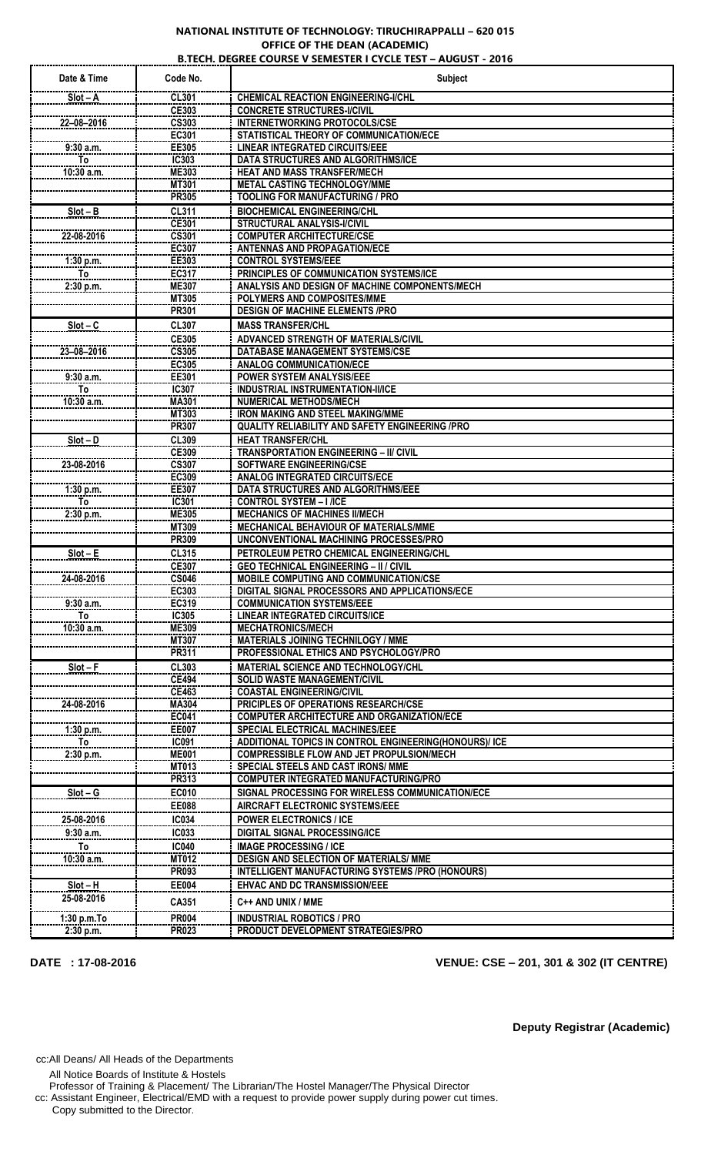## **NATIONAL INSTITUTE OF TECHNOLOGY: TIRUCHIRAPPALLI – 620 015 OFFICE OF THE DEAN (ACADEMIC)**

|                    |                       | <b>B.TECH. DEGREE COURSE V SEMESTER I CYCLE TEST - AUGUST - 2016</b>                            |
|--------------------|-----------------------|-------------------------------------------------------------------------------------------------|
| Date & Time        | Code No.              | <b>Subject</b>                                                                                  |
| $Slot - A$         | <b>CL301</b>          | <b>CHEMICAL REACTION ENGINEERING-I/CHL</b>                                                      |
|                    | CE303                 | <b>CONCRETE STRUCTURES-I/CIVIL</b>                                                              |
| 22-08-2016         | <b>CS303</b>          | <b>INTERNETWORKING PROTOCOLS/CSE</b>                                                            |
|                    | EC301                 | STATISTICAL THEORY OF COMMUNICATION/ECE                                                         |
| 9:30 a.m.          | EE305                 | <b>LINEAR INTEGRATED CIRCUITS/EEE</b>                                                           |
| To<br>10:30 a.m.   | IC303                 | DATA STRUCTURES AND ALGORITHMS/ICE<br><b>HEAT AND MASS TRANSFER/MECH</b>                        |
|                    | <b>ME303</b><br>MT301 | <b>METAL CASTING TECHNOLOGY/MME</b>                                                             |
|                    | <b>PR305</b>          | <b>TOOLING FOR MANUFACTURING / PRO</b>                                                          |
| $Slot - B$         | <b>CL311</b>          | <b>BIOCHEMICAL ENGINEERING/CHL</b>                                                              |
|                    | <b>CE301</b>          | STRUCTURAL ANALYSIS-I/CIVIL                                                                     |
| 22-08-2016         | <b>CS301</b>          | <b>COMPUTER ARCHITECTURE/CSE</b>                                                                |
|                    | EC307                 | <b>ANTENNAS AND PROPAGATION/ECE</b>                                                             |
| 1:30 p.m.<br>To    | EE303<br>EC317        | <b>CONTROL SYSTEMS/EEE</b><br>PRINCIPLES OF COMMUNICATION SYSTEMS/ICE                           |
| 2:30 p.m.          | <b>ME307</b>          | ANALYSIS AND DESIGN OF MACHINE COMPONENTS/MECH                                                  |
|                    | <b>MT305</b>          | POLYMERS AND COMPOSITES/MME                                                                     |
|                    | <b>PR301</b>          | <b>DESIGN OF MACHINE ELEMENTS /PRO</b>                                                          |
| $Slot - C$         | <b>CL307</b>          | <b>MASS TRANSFER/CHL</b>                                                                        |
|                    | <b>CE305</b>          | ADVANCED STRENGTH OF MATERIALS/CIVIL                                                            |
| 23-08-2016         | <b>CS305</b>          | <b>DATABASE MANAGEMENT SYSTEMS/CSE</b>                                                          |
|                    | EC305                 | <b>ANALOG COMMUNICATION/ECE</b>                                                                 |
| 9:30 a.m.          | EE301                 | <b>POWER SYSTEM ANALYSIS/EEE</b>                                                                |
| To<br>$10:30$ a.m. | <b>IC307</b><br>MA301 | <b>INDUSTRIAL INSTRUMENTATION-II/ICE</b><br><b>NUMERICAL METHODS/MECH</b>                       |
|                    | MT303                 | <b>IRON MAKING AND STEEL MAKING/MME</b>                                                         |
|                    | <b>PR307</b>          | <b>QUALITY RELIABILITY AND SAFETY ENGINEERING /PRO</b>                                          |
| $Slot - D$         | <b>CL309</b>          | <b>HEAT TRANSFER/CHL</b>                                                                        |
|                    | <b>CE309</b>          | <b>TRANSPORTATION ENGINEERING - II/ CIVIL</b>                                                   |
| 23-08-2016         | <b>CS307</b>          | SOFTWARE ENGINEERING/CSE                                                                        |
|                    | EC309                 | <b>ANALOG INTEGRATED CIRCUITS/ECE</b>                                                           |
| 1:30 p.m.<br>To    | EE307<br><b>IC301</b> | DATA STRUCTURES AND ALGORITHMS/EEE<br><b>CONTROL SYSTEM - I /ICE</b>                            |
| 2:30 p.m.          | <b>ME305</b>          | <b>MECHANICS OF MACHINES II/MECH</b>                                                            |
|                    | MT309                 | MECHANICAL BEHAVIOUR OF MATERIALS/MME                                                           |
|                    | PR309                 | UNCONVENTIONAL MACHINING PROCESSES/PRO                                                          |
| $Slot - E$         | <b>CL315</b>          | PETROLEUM PETRO CHEMICAL ENGINEERING/CHL                                                        |
|                    | <b>CE307</b>          | <b>GEO TECHNICAL ENGINEERING - II / CIVIL</b>                                                   |
| 24-08-2016         | <b>CS046</b><br>EC303 | <b>MOBILE COMPUTING AND COMMUNICATION/CSE</b><br>DIGITAL SIGNAL PROCESSORS AND APPLICATIONS/ECE |
| 9:30 a.m.          | EC319                 | <b>COMMUNICATION SYSTEMS/EEE</b>                                                                |
| To                 | IC305                 | <b>LINEAR INTEGRATED CIRCUITS/ICE</b>                                                           |
| $10:30$ a.m.       | <b>ME309</b>          | <b>MECHATRONICS/MECH</b>                                                                        |
|                    | <b>MT307</b>          | <b>MATERIALS JOINING TECHNILOGY / MME</b>                                                       |
|                    | PR311                 | PROFESSIONAL ETHICS AND PSYCHOLOGY/PRO                                                          |
| $Slot - F$         | <b>CL303</b>          | <b>MATERIAL SCIENCE AND TECHNOLOGY/CHL</b>                                                      |
|                    | <b>CE494</b><br>CE463 | <b>SOLID WASTE MANAGEMENT/CIVIL</b><br><b>COASTAL ENGINEERING/CIVIL</b>                         |
| 24-08-2016         | <b>MA304</b>          | <b>PRICIPLES OF OPERATIONS RESEARCH/CSE</b>                                                     |
|                    | EC041                 | <b>COMPUTER ARCHITECTURE AND ORGANIZATION/ECE</b>                                               |
| 1:30 p.m.          | <b>EE007</b>          | <b>SPECIAL ELECTRICAL MACHINES/EEE</b>                                                          |
| To                 | <b>IC091</b>          | ADDITIONAL TOPICS IN CONTROL ENGINEERING(HONOURS)/ ICE                                          |
| 2:30 p.m.          | <b>ME001</b>          | <b>COMPRESSIBLE FLOW AND JET PROPULSION/MECH</b>                                                |
|                    | MT013<br>PR313        | SPECIAL STEELS AND CAST IRONS/ MME<br><b>COMPUTER INTEGRATED MANUFACTURING/PRO</b>              |
| $Slot - G$         | <b>EC010</b>          | SIGNAL PROCESSING FOR WIRELESS COMMUNICATION/ECE                                                |
|                    | <b>EE088</b>          | AIRCRAFT ELECTRONIC SYSTEMS/EEE                                                                 |
| 25-08-2016         | <b>IC034</b>          | <b>POWER ELECTRONICS / ICE</b>                                                                  |
| 9:30a.m.           | IC033                 | <b>DIGITAL SIGNAL PROCESSING/ICE</b>                                                            |
| To                 | IC040                 | <b>IMAGE PROCESSING / ICE</b>                                                                   |
| 10:30 a.m.         | MT012                 | <b>DESIGN AND SELECTION OF MATERIALS/ MME</b>                                                   |
|                    | PR093                 | INTELLIGENT MANUFACTURING SYSTEMS /PRO (HONOURS)                                                |
| $Slot - H$         | <b>EE004</b>          | <b>EHVAC AND DC TRANSMISSION/EEE</b>                                                            |
| 25-08-2016         | CA351                 | C++ AND UNIX / MME                                                                              |
| 1:30 p.m.To        | <b>PR004</b>          | <b>INDUSTRIAL ROBOTICS / PRO</b>                                                                |
| 2:30 p.m.          | <b>PR023</b>          | PRODUCT DEVELOPMENT STRATEGIES/PRO                                                              |

## **DATE : 17-08-2016 VENUE: CSE – 201, 301 & 302 (IT CENTRE)**

**Deputy Registrar (Academic)**

cc:All Deans/ All Heads of the Departments

All Notice Boards of Institute & Hostels

Professor of Training & Placement/ The Librarian/The Hostel Manager/The Physical Director

cc: Assistant Engineer, Electrical/EMD with a request to provide power supply during power cut times.

Copy submitted to the Director.